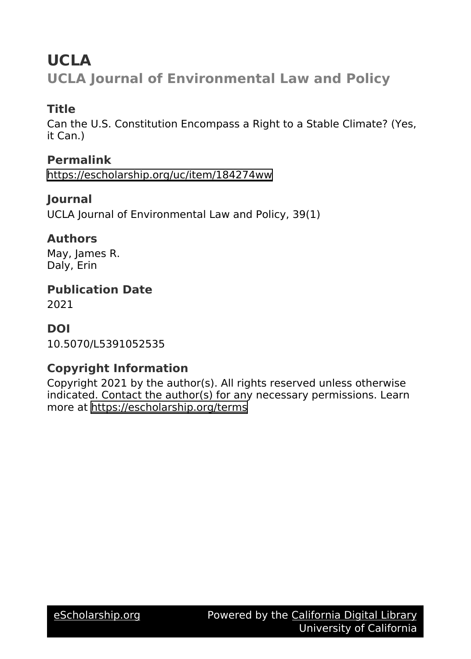# **UCLA**

**UCLA Journal of Environmental Law and Policy**

## **Title**

Can the U.S. Constitution Encompass a Right to a Stable Climate? (Yes, it Can.)

**Permalink**

<https://escholarship.org/uc/item/184274ww>

### **Journal**

UCLA Journal of Environmental Law and Policy, 39(1)

### **Authors**

May, James R. Daly, Erin

**Publication Date**

2021

### **DOI**

10.5070/L5391052535

### **Copyright Information**

Copyright 2021 by the author(s). All rights reserved unless otherwise indicated. Contact the author(s) for any necessary permissions. Learn more at <https://escholarship.org/terms>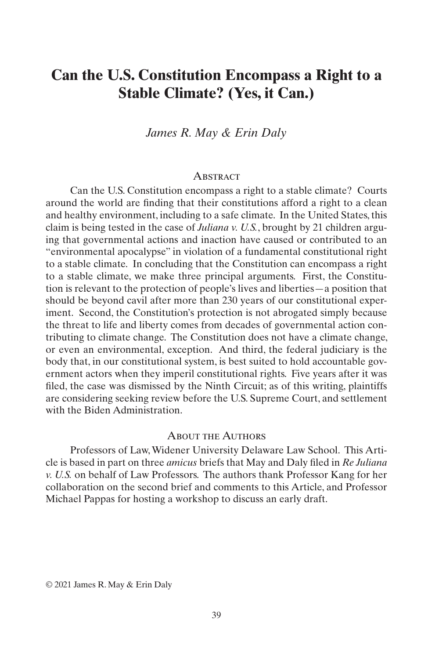# **Can the U.S. Constitution Encompass a Right to a Stable Climate? (Yes, it Can.)**

*James R. May & Erin Daly*

#### **ABSTRACT**

Can the U.S. Constitution encompass a right to a stable climate? Courts around the world are finding that their constitutions afford a right to a clean and healthy environment, including to a safe climate. In the United States, this claim is being tested in the case of *Juliana v. U.S.*, brought by 21 children arguing that governmental actions and inaction have caused or contributed to an "environmental apocalypse" in violation of a fundamental constitutional right to a stable climate. In concluding that the Constitution can encompass a right to a stable climate, we make three principal arguments. First, the Constitution is relevant to the protection of people's lives and liberties—a position that should be beyond cavil after more than 230 years of our constitutional experiment. Second, the Constitution's protection is not abrogated simply because the threat to life and liberty comes from decades of governmental action contributing to climate change. The Constitution does not have a climate change, or even an environmental, exception. And third, the federal judiciary is the body that, in our constitutional system, is best suited to hold accountable government actors when they imperil constitutional rights. Five years after it was filed, the case was dismissed by the Ninth Circuit; as of this writing, plaintiffs are considering seeking review before the U.S. Supreme Court, and settlement with the Biden Administration.

#### About the Authors

Professors of Law, Widener University Delaware Law School. This Article is based in part on three *amicus* briefs that May and Daly filed in *Re Juliana v. U.S.* on behalf of Law Professors. The authors thank Professor Kang for her collaboration on the second brief and comments to this Article, and Professor Michael Pappas for hosting a workshop to discuss an early draft.

© 2021 James R. May & Erin Daly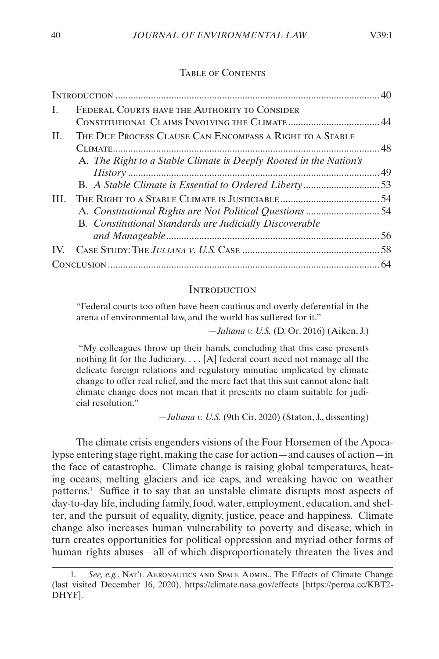#### TABLE OF CONTENTS

| L  | FEDERAL COURTS HAVE THE AUTHORITY TO CONSIDER                     |  |
|----|-------------------------------------------------------------------|--|
| H. | THE DUE PROCESS CLAUSE CAN ENCOMPASS A RIGHT TO A STABLE          |  |
|    | A. The Right to a Stable Climate is Deeply Rooted in the Nation's |  |
|    | <b>B.</b> Constitutional Standards are Judicially Discoverable    |  |
|    |                                                                   |  |
|    |                                                                   |  |

#### **INTRODUCTION**

"Federal courts too often have been cautious and overly deferential in the arena of environmental law, and the world has suffered for it."

—*Juliana v. U.S.* (D. Or. 2016) (Aiken, J.)

 "My colleagues throw up their hands, concluding that this case presents nothing fit for the Judiciary. . . . [A] federal court need not manage all the delicate foreign relations and regulatory minutiae implicated by climate change to offer real relief, and the mere fact that this suit cannot alone halt climate change does not mean that it presents no claim suitable for judicial resolution."

—*Juliana v. U.S.* (9th Cir. 2020) (Staton, J., dissenting)

The climate crisis engenders visions of the Four Horsemen of the Apocalypse entering stage right, making the case for action—and causes of action—in the face of catastrophe. Climate change is raising global temperatures, heating oceans, melting glaciers and ice caps, and wreaking havoc on weather patterns.1 Suffice it to say that an unstable climate disrupts most aspects of day-to-day life, including family, food, water, employment, education, and shelter, and the pursuit of equality, dignity, justice, peace and happiness. Climate change also increases human vulnerability to poverty and disease, which in turn creates opportunities for political oppression and myriad other forms of human rights abuses—all of which disproportionately threaten the lives and

<sup>1.</sup> *See, e.g.*, Nat'l Aeronautics and Space Admin., The Effects of Climate Change (last visited December 16, 2020), https://climate.nasa.gov/effects [https://perma.cc/KBT2- DHYF].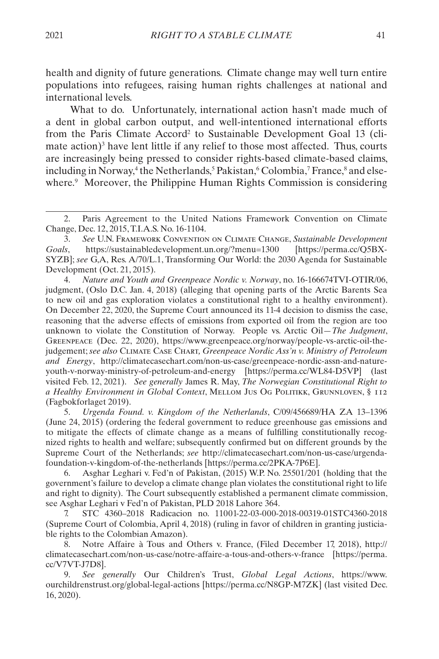health and dignity of future generations. Climate change may well turn entire populations into refugees, raising human rights challenges at national and international levels.

What to do. Unfortunately, international action hasn't made much of a dent in global carbon output, and well-intentioned international efforts from the Paris Climate Accord<sup>2</sup> to Sustainable Development Goal 13 (climate action)<sup>3</sup> have lent little if any relief to those most affected. Thus, courts are increasingly being pressed to consider rights-based climate-based claims, including in Norway,<sup>4</sup> the Netherlands,<sup>5</sup> Pakistan,<sup>6</sup> Colombia,<sup>7</sup> France,<sup>8</sup> and elsewhere.<sup>9</sup> Moreover, the Philippine Human Rights Commission is considering

4. *Nature and Youth and Greenpeace Nordic v. Norway*, no. 16-166674TVI-OTIR/06, judgment, (Oslo D.C. Jan. 4, 2018) (alleging that opening parts of the Arctic Barents Sea to new oil and gas exploration violates a constitutional right to a healthy environment). On December 22, 2020, the Supreme Court announced its 11-4 decision to dismiss the case, reasoning that the adverse effects of emissions from exported oil from the region are too unknown to violate the Constitution of Norway. People vs. Arctic Oil—*The Judgment*, Greenpeace (Dec. 22, 2020), https://www.greenpeace.org/norway/people-vs-arctic-oil-thejudgement; *see also* Climate Case Chart*, Greenpeace Nordic Ass'n v. Ministry of Petroleum and Energy*, http://climatecasechart.com/non-us-case/greenpeace-nordic-assn-and-natureyouth-v-norway-ministry-of-petroleum-and-energy [https://perma.cc/WL84-D5VP] (last visited Feb. 12, 2021). *See generally* James R. May, *The Norwegian Constitutional Right to a Healthy Environment in Global Context*, Mellom Jus Og Politikk, Grunnloven, § 112 (Fagbokforlaget 2019).

5. *Urgenda Found. v. Kingdom of the Netherlands*, C/09/456689/HA ZA 13–1396 (June 24, 2015) (ordering the federal government to reduce greenhouse gas emissions and to mitigate the effects of climate change as a means of fulfilling constitutionally recognized rights to health and welfare; subsequently confirmed but on different grounds by the Supreme Court of the Netherlands; *see* http://climatecasechart.com/non-us-case/urgendafoundation-v-kingdom-of-the-netherlands [https://perma.cc/2PKA-7P6E].

6. Asghar Leghari v. Fed'n of Pakistan, (2015) W.P. No. 25501/201 (holding that the government's failure to develop a climate change plan violates the constitutional right to life and right to dignity). The Court subsequently established a permanent climate commission, see Asghar Leghari v Fed'n of Pakistan, PLD 2018 Lahore 364.

7. STC 4360–2018 Radicacion no. 11001-22-03-000-2018-00319-01STC4360-2018 (Supreme Court of Colombia, April 4, 2018) (ruling in favor of children in granting justiciable rights to the Colombian Amazon).

8. Notre Affaire à Tous and Others v. France, (Filed December 17, 2018), http:// climatecasechart.com/non-us-case/notre-affaire-a-tous-and-others-v-france [https://perma. cc/V7VT-J7D8].

9. *See generally* Our Children's Trust, *Global Legal Actions*, https://www. ourchildrenstrust.org/global-legal-actions [https://perma.cc/N8GP-M7ZK] (last visited Dec. 16, 2020).

<sup>2.</sup> Paris Agreement to the United Nations Framework Convention on Climate Change, Dec. 12, 2015, T.I.A.S. No. 16-1104.

<sup>3.</sup> *See* U.N. Framework Convention on Climate Change, *Sustainable Development Goals*, https://sustainabledevelopment.un.org/?menu=1300 [https://perma.cc/Q5BX-SYZB]; *see* G,A, Res. A/70/L.1, Transforming Our World: the 2030 Agenda for Sustainable Development (Oct. 21, 2015).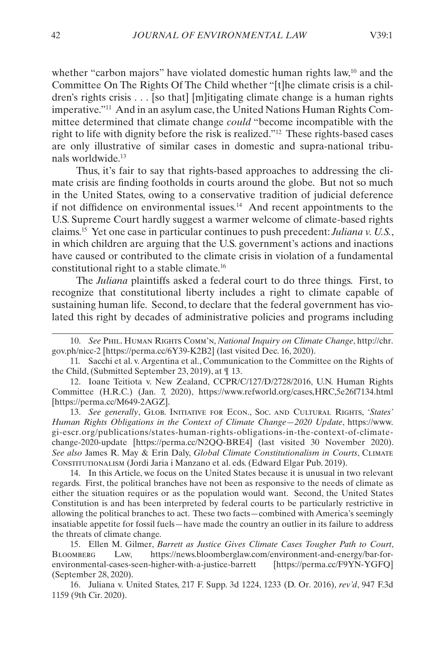whether "carbon majors" have violated domestic human rights law,<sup>10</sup> and the Committee On The Rights Of The Child whether "[t]he climate crisis is a children's rights crisis . . . [so that] [m]itigating climate change is a human rights imperative."11 And in an asylum case, the United Nations Human Rights Committee determined that climate change *could* "become incompatible with the right to life with dignity before the risk is realized."12 These rights-based cases are only illustrative of similar cases in domestic and supra-national tribunals worldwide.13

Thus, it's fair to say that rights-based approaches to addressing the climate crisis are finding footholds in courts around the globe. But not so much in the United States, owing to a conservative tradition of judicial deference if not diffidence on environmental issues.14 And recent appointments to the U.S. Supreme Court hardly suggest a warmer welcome of climate-based rights claims.15 Yet one case in particular continues to push precedent: *Juliana v. U.S.*, in which children are arguing that the U.S. government's actions and inactions have caused or contributed to the climate crisis in violation of a fundamental constitutional right to a stable climate.16

The *Juliana* plaintiffs asked a federal court to do three things. First, to recognize that constitutional liberty includes a right to climate capable of sustaining human life. Second, to declare that the federal government has violated this right by decades of administrative policies and programs including

12. Ioane Teitiota v. New Zealand, CCPR/C/127/D/2728/2016, U.N. Human Rights Committee (H.R.C.) (Jan. 7, 2020), https://www.refworld.org/cases,HRC,5e26f7134.html [https://perma.cc/M649-2AGZ].

13. *See generally*, Glob. Initiative for Econ., Soc. and Cultural Rights, *'States' Human Rights Obligations in the Context of Climate Change—2020 Update*, https://www. gi-escr.org/publications/states-human-rights-obligations-in-the-context-of-climatechange-2020-update [https://perma.cc/N2QQ-BRE4] (last visited 30 November 2020). *See also* James R. May & Erin Daly, *Global Climate Constitutionalism in Courts*, Climate Constitutionalism (Jordi Jaria i Manzano et al. eds. (Edward Elgar Pub. 2019).

14. In this Article, we focus on the United States because it is unusual in two relevant regards. First, the political branches have not been as responsive to the needs of climate as either the situation requires or as the population would want. Second, the United States Constitution is and has been interpreted by federal courts to be particularly restrictive in allowing the political branches to act. These two facts—combined with America's seemingly insatiable appetite for fossil fuels—have made the country an outlier in its failure to address the threats of climate change.

15. Ellen M. Gilmer, *Barrett as Justice Gives Climate Cases Tougher Path to Court*, Bloomberg Law, https://news.bloomberglaw.com/environment-and-energy/bar-forenvironmental-cases-seen-higher-with-a-justice-barrett [https://perma.cc/F9YN-YGFQ] (September 28, 2020).

16. Juliana v. United States, 217 F. Supp. 3d 1224, 1233 (D. Or. 2016), *rev'd*, 947 F.3d 1159 (9th Cir. 2020).

<sup>10.</sup> *See* Phil. Human Rights Comm'n, *National Inquiry on Climate Change*, http://chr. gov.ph/nicc-2 [https://perma.cc/6Y39-K2B2] (last visited Dec. 16, 2020).

<sup>11.</sup> Sacchi et al. v. Argentina et al., Communication to the Committee on the Rights of the Child, (Submitted September 23, 2019), at ¶ 13.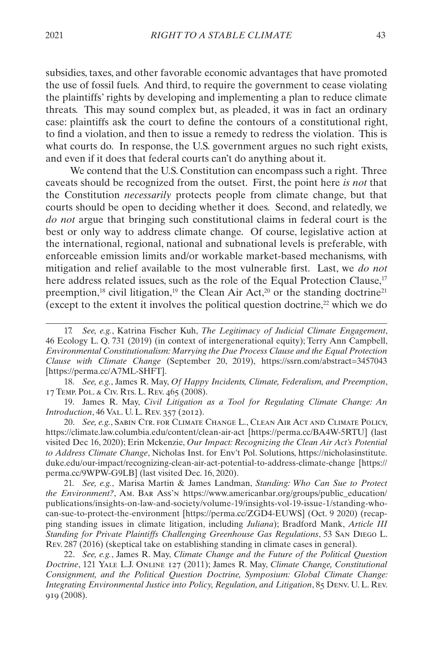subsidies, taxes, and other favorable economic advantages that have promoted the use of fossil fuels. And third, to require the government to cease violating the plaintiffs' rights by developing and implementing a plan to reduce climate threats. This may sound complex but, as pleaded, it was in fact an ordinary case: plaintiffs ask the court to define the contours of a constitutional right, to find a violation, and then to issue a remedy to redress the violation. This is what courts do. In response, the U.S. government argues no such right exists, and even if it does that federal courts can't do anything about it.

We contend that the U.S. Constitution can encompass such a right. Three caveats should be recognized from the outset. First, the point here *is not* that the Constitution *necessarily* protects people from climate change, but that courts should be open to deciding whether it does. Second, and relatedly, we *do not* argue that bringing such constitutional claims in federal court is the best or only way to address climate change. Of course, legislative action at the international, regional, national and subnational levels is preferable, with enforceable emission limits and/or workable market-based mechanisms, with mitigation and relief available to the most vulnerable first. Last, we *do not* here address related issues, such as the role of the Equal Protection Clause,<sup>17</sup> preemption,<sup>18</sup> civil litigation,<sup>19</sup> the Clean Air Act,<sup>20</sup> or the standing doctrine<sup>21</sup> (except to the extent it involves the political question doctrine, $22$  which we do

18. *See, e.g.*, James R. May, *Of Happy Incidents, Climate, Federalism, and Preemption*, 17 Temp. Pol. & Civ. Rts. L. Rev. 465 (2008).

19. James R. May, *Civil Litigation as a Tool for Regulating Climate Change: An Introduction*, 46 Val. U. L. Rev. 357 (2012).

20. *See, e.g.*, Sabin Ctr. for Climate Change L., Clean Air Act and Climate Policy, https://climate.law.columbia.edu/content/clean-air-act [https://perma.cc/BA4W-5RTU] (last visited Dec 16, 2020); Erin Mckenzie, *Our Impact: Recognizing the Clean Air Act's Potential to Address Climate Change*, Nicholas Inst. for Env't Pol. Solutions, https://nicholasinstitute. duke.edu/our-impact/recognizing-clean-air-act-potential-to-address-climate-change [https:// perma.cc/9WPW-G9LB] (last visited Dec. 16, 2020).

21. *See, e.g.*, Marisa Martin & James Landman, *Standing: Who Can Sue to Protect the Environment?*, Am. Bar Ass'n https://www.americanbar.org/groups/public\_education/ publications/insights-on-law-and-society/volume-19/insights-vol-19-issue-1/standing-whocan-sue-to-protect-the-environment [https://perma.cc/ZGD4-EUWS] (Oct. 9 2020) (recapping standing issues in climate litigation, including *Juliana*); Bradford Mank, *Article III Standing for Private Plaintiffs Challenging Greenhouse Gas Regulations*, 53 San Diego L. Rev. 287 (2016) (skeptical take on establishing standing in climate cases in general).

22. *See, e.g.*, James R. May, *Climate Change and the Future of the Political Question Doctrine*, 121 Yale L.J. Online 127 (2011); James R. May, *Climate Change, Constitutional Consignment, and the Political Question Doctrine, Symposium: Global Climate Change: Integrating Environmental Justice into Policy, Regulation, and Litigation*, 85 Denv. U. L. Rev. 919 (2008).

<sup>17.</sup> *See, e.g.*, Katrina Fischer Kuh, *The Legitimacy of Judicial Climate Engagement*, 46 Ecology L. Q. 731 (2019) (in context of intergenerational equity); Terry Ann Campbell, *Environmental Constitutionalism: Marrying the Due Process Clause and the Equal Protection Clause with Climate Change* (September 20, 2019), https://ssrn.com/abstract=3457043 [https://perma.cc/A7ML-SHFT].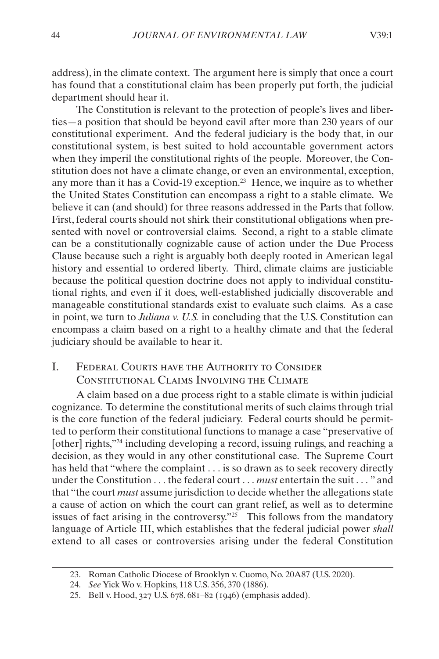<span id="page-6-0"></span>address), in the climate context. The argument here is simply that once a court has found that a constitutional claim has been properly put forth, the judicial department should hear it.

The Constitution is relevant to the protection of people's lives and liberties—a position that should be beyond cavil after more than 230 years of our constitutional experiment. And the federal judiciary is the body that, in our constitutional system, is best suited to hold accountable government actors when they imperil the constitutional rights of the people. Moreover, the Constitution does not have a climate change, or even an environmental, exception, any more than it has a Covid-19 exception.23 Hence, we inquire as to whether the United States Constitution can encompass a right to a stable climate. We believe it can (and should) for three reasons addressed in the Parts that follow. First, federal courts should not shirk their constitutional obligations when presented with novel or controversial claims. Second, a right to a stable climate can be a constitutionally cognizable cause of action under the Due Process Clause because such a right is arguably both deeply rooted in American legal history and essential to ordered liberty. Third, climate claims are justiciable because the political question doctrine does not apply to individual constitutional rights, and even if it does, well-established judicially discoverable and manageable constitutional standards exist to evaluate such claims. As a case in point, we turn to *Juliana v. U.S.* in concluding that the U.S. Constitution can encompass a claim based on a right to a healthy climate and that the federal judiciary should be available to hear it.

### I. Federal Courts have the Authority to Consider Constitutional Claims Involving the Climate

A claim based on a due process right to a stable climate is within judicial cognizance. To determine the constitutional merits of such claims through trial is the core function of the federal judiciary. Federal courts should be permitted to perform their constitutional functions to manage a case "preservative of [other] rights,"<sup>24</sup> including developing a record, issuing rulings, and reaching a decision, as they would in any other constitutional case. The Supreme Court has held that "where the complaint . . . is so drawn as to seek recovery directly under the Constitution . . . the federal court . . . *must* entertain the suit . . . " and that "the court *must* assume jurisdiction to decide whether the allegations state a cause of action on which the court can grant relief, as well as to determine issues of fact arising in the controversy."<sup>25</sup> This follows from the mandatory language of Article III, which establishes that the federal judicial power *shall* extend to all cases or controversies arising under the federal Constitution

<sup>23.</sup> Roman Catholic Diocese of Brooklyn v. Cuomo, No. 20A87 (U.S. 2020).

<sup>24.</sup> *See* Yick Wo v. Hopkins, 118 U.S. 356, 370 (1886).

<sup>25.</sup> Bell v. Hood, 327 U.S. 678, 681–82 (1946) (emphasis added).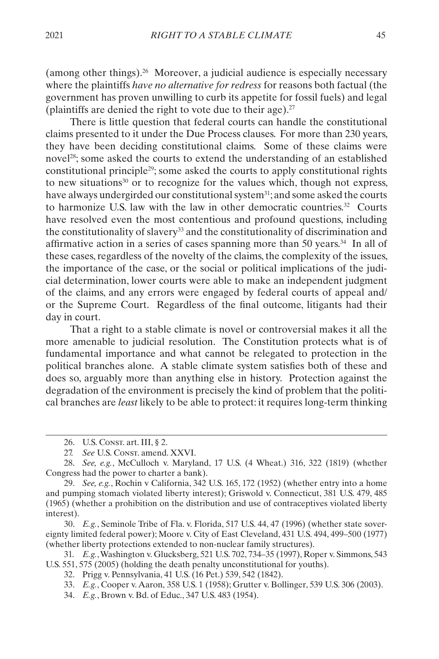(among other things).26 Moreover, a judicial audience is especially necessary where the plaintiffs *have no alternative for redress* for reasons both factual (the government has proven unwilling to curb its appetite for fossil fuels) and legal (plaintiffs are denied the right to vote due to their age). $27$ 

There is little question that federal courts can handle the constitutional claims presented to it under the Due Process clauses. For more than 230 years, they have been deciding constitutional claims. Some of these claims were novel<sup>28</sup>; some asked the courts to extend the understanding of an established constitutional principle29; some asked the courts to apply constitutional rights to new situations $30$  or to recognize for the values which, though not express, have always undergirded our constitutional system<sup>31</sup>; and some asked the courts to harmonize U.S. law with the law in other democratic countries.32 Courts have resolved even the most contentious and profound questions, including the constitutionality of slavery33 and the constitutionality of discrimination and affirmative action in a series of cases spanning more than 50 years. $34$  In all of these cases, regardless of the novelty of the claims, the complexity of the issues, the importance of the case, or the social or political implications of the judicial determination, lower courts were able to make an independent judgment of the claims, and any errors were engaged by federal courts of appeal and/ or the Supreme Court. Regardless of the final outcome, litigants had their day in court.

That a right to a stable climate is novel or controversial makes it all the more amenable to judicial resolution. The Constitution protects what is of fundamental importance and what cannot be relegated to protection in the political branches alone. A stable climate system satisfies both of these and does so, arguably more than anything else in history. Protection against the degradation of the environment is precisely the kind of problem that the political branches are *least* likely to be able to protect: it requires long-term thinking

30. *E.g.*, Seminole Tribe of Fla. v. Florida, 517 U.S. 44, 47 (1996) (whether state sovereignty limited federal power); Moore v. City of East Cleveland, 431 U.S. 494, 499–500 (1977) (whether liberty protections extended to non-nuclear family structures).

<sup>26.</sup> U.S. Const. art. III, § 2.

<sup>27.</sup> See U.S. Const. amend. XXVI.

<sup>28.</sup> *See, e.g.*, McCulloch v. Maryland, 17 U.S. (4 Wheat.) 316, 322 (1819) (whether Congress had the power to charter a bank).

<sup>29.</sup> *See, e.g.*, Rochin v California, 342 U.S. 165, 172 (1952) (whether entry into a home and pumping stomach violated liberty interest); Griswold v. Connecticut, 381 U.S. 479, 485 (1965) (whether a prohibition on the distribution and use of contraceptives violated liberty interest).

<sup>31.</sup> *E.g.*, Washington v. Glucksberg, 521 U.S. 702, 734–35 (1997), Roper v. Simmons, 543 U.S. 551, 575 (2005) (holding the death penalty unconstitutional for youths).

<sup>32.</sup> Prigg v. Pennsylvania, 41 U.S. (16 Pet.) 539, 542 (1842).

<sup>33.</sup> *E.g.*, Cooper v. Aaron, 358 U.S. 1 (1958); Grutter v. Bollinger, 539 U.S. 306 (2003).

<sup>34.</sup> *E.g.*, Brown v. Bd. of Educ., 347 U.S. 483 (1954).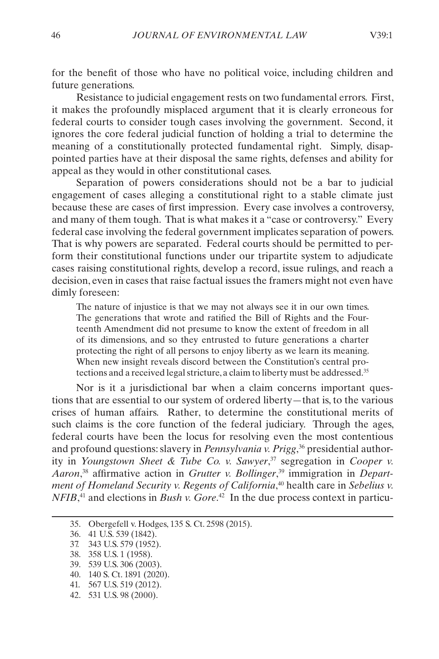for the benefit of those who have no political voice, including children and future generations.

Resistance to judicial engagement rests on two fundamental errors. First, it makes the profoundly misplaced argument that it is clearly erroneous for federal courts to consider tough cases involving the government. Second, it ignores the core federal judicial function of holding a trial to determine the meaning of a constitutionally protected fundamental right. Simply, disappointed parties have at their disposal the same rights, defenses and ability for appeal as they would in other constitutional cases.

Separation of powers considerations should not be a bar to judicial engagement of cases alleging a constitutional right to a stable climate just because these are cases of first impression. Every case involves a controversy, and many of them tough. That is what makes it a "case or controversy." Every federal case involving the federal government implicates separation of powers. That is why powers are separated. Federal courts should be permitted to perform their constitutional functions under our tripartite system to adjudicate cases raising constitutional rights, develop a record, issue rulings, and reach a decision, even in cases that raise factual issues the framers might not even have dimly foreseen:

The nature of injustice is that we may not always see it in our own times. The generations that wrote and ratified the Bill of Rights and the Fourteenth Amendment did not presume to know the extent of freedom in all of its dimensions, and so they entrusted to future generations a charter protecting the right of all persons to enjoy liberty as we learn its meaning. When new insight reveals discord between the Constitution's central protections and a received legal stricture, a claim to liberty must be addressed.<sup>35</sup>

Nor is it a jurisdictional bar when a claim concerns important questions that are essential to our system of ordered liberty—that is, to the various crises of human affairs. Rather, to determine the constitutional merits of such claims is the core function of the federal judiciary. Through the ages, federal courts have been the locus for resolving even the most contentious and profound questions: slavery in *Pennsylvania v. Prigg*, 36 presidential authority in *Youngstown Sheet & Tube Co. v. Sawyer*, 37 segregation in *Cooper v. Aaron*, 38 affirmative action in *Grutter v. Bollinger*, 39 immigration in *Department of Homeland Security v. Regents of California*, 40 health care in *Sebelius v. NFIB*<sup>41</sup> and elections in *Bush v. Gore*<sup>42</sup> In the due process context in particu-

- 39. 539 U.S. 306 (2003).
- 40. 140 S. Ct. 1891 (2020).
- 41. 567 U.S. 519 (2012).
- 42. 531 U.S. 98 (2000).

<sup>35.</sup> Obergefell v. Hodges, 135 S. Ct. 2598 (2015).

<sup>36.</sup> 41 U.S. 539 (1842).

<sup>37.</sup> 343 U.S. 579 (1952).

<sup>38.</sup> 358 U.S. 1 (1958).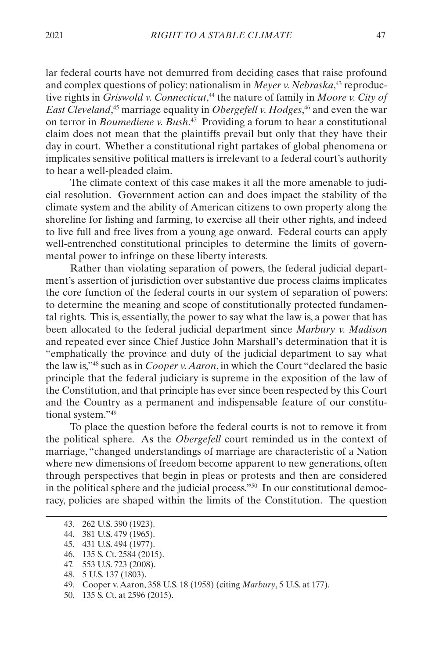lar federal courts have not demurred from deciding cases that raise profound and complex questions of policy: nationalism in *Meyer v. Nebraska*, 43 reproductive rights in *Griswold v. Connecticut*, 44 the nature of family in *Moore v. City of East Cleveland*, 45 marriage equality in *Obergefell v. Hodges*, 46 and even the war on terror in *Boumediene v. Bush*. 47 Providing a forum to hear a constitutional claim does not mean that the plaintiffs prevail but only that they have their day in court. Whether a constitutional right partakes of global phenomena or implicates sensitive political matters is irrelevant to a federal court's authority to hear a well-pleaded claim.

The climate context of this case makes it all the more amenable to judicial resolution. Government action can and does impact the stability of the climate system and the ability of American citizens to own property along the shoreline for fishing and farming, to exercise all their other rights, and indeed to live full and free lives from a young age onward. Federal courts can apply well-entrenched constitutional principles to determine the limits of governmental power to infringe on these liberty interests.

Rather than violating separation of powers, the federal judicial department's assertion of jurisdiction over substantive due process claims implicates the core function of the federal courts in our system of separation of powers: to determine the meaning and scope of constitutionally protected fundamental rights. This is, essentially, the power to say what the law is, a power that has been allocated to the federal judicial department since *Marbury v. Madison* and repeated ever since Chief Justice John Marshall's determination that it is "emphatically the province and duty of the judicial department to say what the law is,"48 such as in *Cooper v. Aaron*, in which the Court "declared the basic principle that the federal judiciary is supreme in the exposition of the law of the Constitution, and that principle has ever since been respected by this Court and the Country as a permanent and indispensable feature of our constitutional system."49

To place the question before the federal courts is not to remove it from the political sphere. As the *Obergefell* court reminded us in the context of marriage, "changed understandings of marriage are characteristic of a Nation where new dimensions of freedom become apparent to new generations, often through perspectives that begin in pleas or protests and then are considered in the political sphere and the judicial process."50 In our constitutional democracy, policies are shaped within the limits of the Constitution. The question

<sup>43.</sup> 262 U.S. 390 (1923).

<sup>44.</sup> 381 U.S. 479 (1965).

<sup>45.</sup> 431 U.S. 494 (1977).

<sup>46.</sup> 135 S. Ct. 2584 (2015).

<sup>47.</sup> 553 U.S. 723 (2008).

<sup>48.</sup> 5 U.S. 137 (1803).

<sup>49.</sup> Cooper v. Aaron, 358 U.S. 18 (1958) (citing *Marbury*, 5 U.S. at 177).

<sup>50.</sup> 135 S. Ct. at 2596 (2015).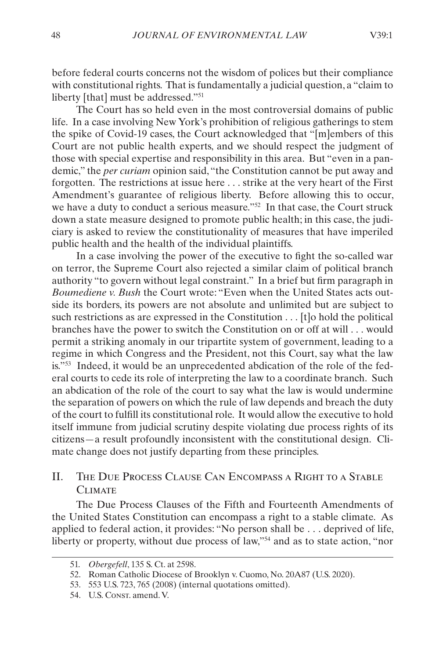<span id="page-10-0"></span>before federal courts concerns not the wisdom of polices but their compliance with constitutional rights. That is fundamentally a judicial question, a "claim to liberty [that] must be addressed."51

The Court has so held even in the most controversial domains of public life. In a case involving New York's prohibition of religious gatherings to stem the spike of Covid-19 cases, the Court acknowledged that "[m]embers of this Court are not public health experts, and we should respect the judgment of those with special expertise and responsibility in this area. But "even in a pandemic," the *per curiam* opinion said, "the Constitution cannot be put away and forgotten. The restrictions at issue here . . . strike at the very heart of the First Amendment's guarantee of religious liberty. Before allowing this to occur, we have a duty to conduct a serious measure."52 In that case, the Court struck down a state measure designed to promote public health; in this case, the judiciary is asked to review the constitutionality of measures that have imperiled public health and the health of the individual plaintiffs.

In a case involving the power of the executive to fight the so-called war on terror, the Supreme Court also rejected a similar claim of political branch authority "to govern without legal constraint." In a brief but firm paragraph in *Boumediene v. Bush* the Court wrote: "Even when the United States acts outside its borders, its powers are not absolute and unlimited but are subject to such restrictions as are expressed in the Constitution . . . [t]o hold the political branches have the power to switch the Constitution on or off at will . . . would permit a striking anomaly in our tripartite system of government, leading to a regime in which Congress and the President, not this Court, say what the law is."53 Indeed, it would be an unprecedented abdication of the role of the federal courts to cede its role of interpreting the law to a coordinate branch. Such an abdication of the role of the court to say what the law is would undermine the separation of powers on which the rule of law depends and breach the duty of the court to fulfill its constitutional role. It would allow the executive to hold itself immune from judicial scrutiny despite violating due process rights of its citizens—a result profoundly inconsistent with the constitutional design. Climate change does not justify departing from these principles.

### II. The Due Process Clause Can Encompass a Right to a Stable CLIMATE

The Due Process Clauses of the Fifth and Fourteenth Amendments of the United States Constitution can encompass a right to a stable climate. As applied to federal action, it provides: "No person shall be . . . deprived of life, liberty or property, without due process of law,"<sup>54</sup> and as to state action, "nor

<sup>51.</sup> *Obergefell*, 135 S. Ct. at 2598.

<sup>52.</sup> Roman Catholic Diocese of Brooklyn v. Cuomo, No. 20A87 (U.S. 2020).

<sup>53.</sup> 553 U.S. 723, 765 (2008) (internal quotations omitted).

<sup>54.</sup> U.S. Const. amend. V.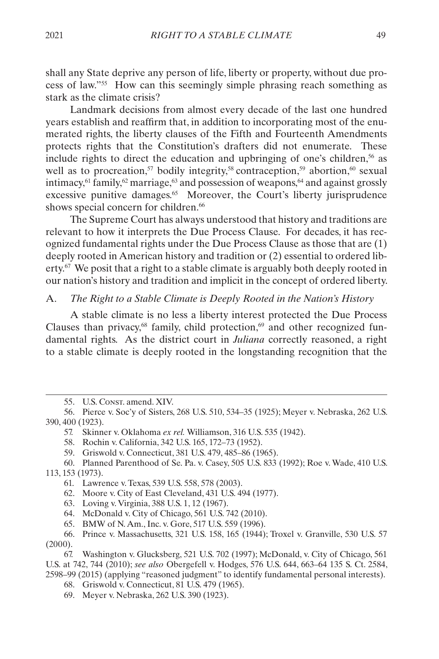<span id="page-11-0"></span>shall any State deprive any person of life, liberty or property, without due process of law."55 How can this seemingly simple phrasing reach something as stark as the climate crisis?

Landmark decisions from almost every decade of the last one hundred years establish and reaffirm that, in addition to incorporating most of the enumerated rights, the liberty clauses of the Fifth and Fourteenth Amendments protects rights that the Constitution's drafters did not enumerate. These include rights to direct the education and upbringing of one's children,<sup>56</sup> as well as to procreation,<sup>57</sup> bodily integrity,<sup>58</sup> contraception,<sup>59</sup> abortion,<sup>60</sup> sexual intimacy,  $61$  family,  $62$  marriage,  $63$  and possession of weapons,  $64$  and against grossly excessive punitive damages.<sup>65</sup> Moreover, the Court's liberty jurisprudence shows special concern for children.<sup>66</sup>

The Supreme Court has always understood that history and traditions are relevant to how it interprets the Due Process Clause. For decades, it has recognized fundamental rights under the Due Process Clause as those that are (1) deeply rooted in American history and tradition or (2) essential to ordered liberty.<sup>67</sup> We posit that a right to a stable climate is arguably both deeply rooted in our nation's history and tradition and implicit in the concept of ordered liberty.

#### A. *The Right to a Stable Climate is Deeply Rooted in the Nation's History*

A stable climate is no less a liberty interest protected the Due Process Clauses than privacy, $68$  family, child protection, $69$  and other recognized fundamental rights. As the district court in *Juliana* correctly reasoned, a right to a stable climate is deeply rooted in the longstanding recognition that the

59. Griswold v. Connecticut, 381 U.S. 479, 485–86 (1965).

- 61. Lawrence v. Texas, 539 U.S. 558, 578 (2003).
- 62. Moore v. City of East Cleveland, 431 U.S. 494 (1977).
- 63. Loving v. Virginia, 388 U.S. 1, 12 (1967).
- 64. McDonald v. City of Chicago, 561 U.S. 742 (2010).
- 65. BMW of N. Am., Inc. v. Gore, 517 U.S. 559 (1996).

- 68. Griswold v. Connecticut, 81 U.S. 479 (1965).
- 69. Meyer v. Nebraska, 262 U.S. 390 (1923).

<sup>55.</sup> U.S. CONST. amend. XIV.

<sup>56.</sup> Pierce v. Soc'y of Sisters, 268 U.S. 510, 534–35 (1925); Meyer v. Nebraska, 262 U.S. 390, 400 (1923).

<sup>57.</sup> Skinner v. Oklahoma *ex rel.* Williamson, 316 U.S. 535 (1942).

<sup>58.</sup> Rochin v. California, 342 U.S. 165, 172–73 (1952).

<sup>60.</sup> Planned Parenthood of Se. Pa. v. Casey, 505 U.S. 833 (1992); Roe v. Wade, 410 U.S. 113, 153 (1973).

<sup>66.</sup> Prince v. Massachusetts, 321 U.S. 158, 165 (1944); Troxel v. Granville, 530 U.S. 57 (2000).

<sup>67.</sup> Washington v. Glucksberg, 521 U.S. 702 (1997); McDonald, v. City of Chicago, 561 U.S. at 742, 744 (2010); *see also* Obergefell v. Hodges, 576 U.S. 644, 663–64 135 S. Ct. 2584, 2598–99 (2015) (applying "reasoned judgment" to identify fundamental personal interests).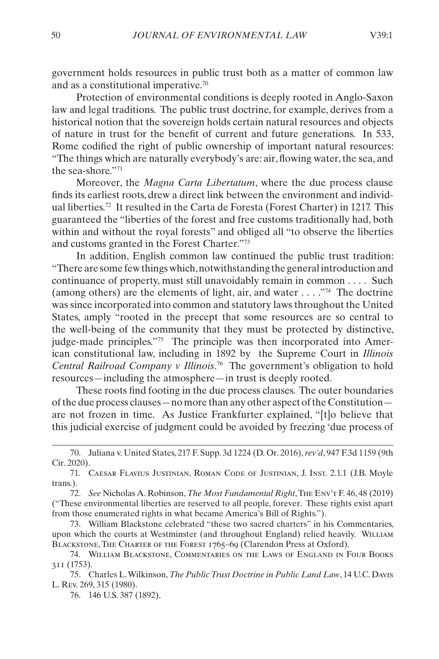government holds resources in public trust both as a matter of common law and as a constitutional imperative.70

Protection of environmental conditions is deeply rooted in Anglo-Saxon law and legal traditions. The public trust doctrine, for example, derives from a historical notion that the sovereign holds certain natural resources and objects of nature in trust for the benefit of current and future generations. In 533, Rome codified the right of public ownership of important natural resources: "The things which are naturally everybody's are: air, flowing water, the sea, and the sea-shore."71

Moreover, the *Magna Carta Libertatum*, where the due process clause finds its earliest roots, drew a direct link between the environment and individual liberties.72 It resulted in the Carta de Foresta (Forest Charter) in 1217. This guaranteed the "liberties of the forest and free customs traditionally had, both within and without the royal forests" and obliged all "to observe the liberties and customs granted in the Forest Charter."73

In addition, English common law continued the public trust tradition: "There are some few things which, notwithstanding the general introduction and continuance of property, must still unavoidably remain in common . . . . Such (among others) are the elements of light, air, and water  $\dots$ <sup>74</sup>. The doctrine was since incorporated into common and statutory laws throughout the United States, amply "rooted in the precept that some resources are so central to the well-being of the community that they must be protected by distinctive, judge-made principles."75 The principle was then incorporated into American constitutional law, including in 1892 by the Supreme Court in *Illinois Central Railroad Company v Illinois*. 76 The government's obligation to hold resources—including the atmosphere—in trust is deeply rooted.

These roots find footing in the due process clauses. The outer boundaries of the due process clauses—no more than any other aspect of the Constitution are not frozen in time. As Justice Frankfurter explained, "[t]o believe that this judicial exercise of judgment could be avoided by freezing 'due process of

<sup>70.</sup> Juliana v. United States, 217 F. Supp. 3d 1224 (D. Or. 2016), *rev'd*, 947 F.3d 1159 (9th Cir. 2020).

<sup>71.</sup> Caesar Flavius Justinian, Roman Code of Justinian, J. Inst. 2.1.1 (J.B. Moyle trans.).

<sup>72.</sup> *See* Nicholas A. Robinson, *The Most Fundamental Right*, The Env't F. 46, 48 (2019) ("These environmental liberties are reserved to all people, forever. These rights exist apart from those enumerated rights in what became America's Bill of Rights.").

<sup>73.</sup> William Blackstone celebrated "these two sacred charters" in his Commentaries, upon which the courts at Westminster (and throughout England) relied heavily. WILLIAM Blackstone, The Charter of the Forest 1765–69 (Clarendon Press at Oxford).

<sup>74.</sup> William Blackstone, Commentaries on the Laws of England in Four Books 311 (1753).

<sup>75.</sup> Charles L. Wilkinson, *The Public Trust Doctrine in Public Land Law*, 14 U.C. Davis L. Rev. 269, 315 (1980).

<sup>76.</sup> 146 U.S. 387 (1892).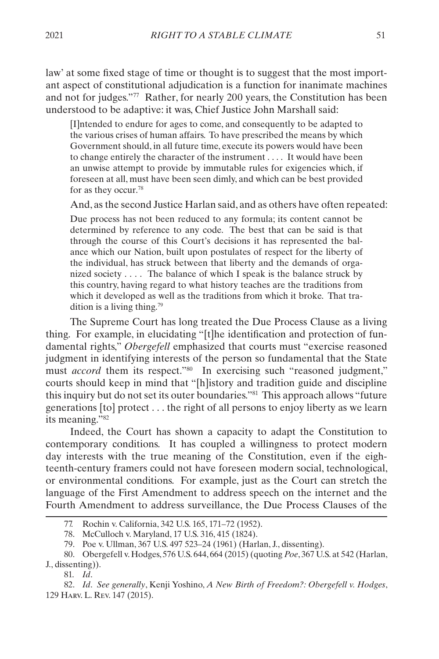law' at some fixed stage of time or thought is to suggest that the most important aspect of constitutional adjudication is a function for inanimate machines and not for judges."77 Rather, for nearly 200 years, the Constitution has been understood to be adaptive: it was, Chief Justice John Marshall said:

[I]ntended to endure for ages to come, and consequently to be adapted to the various crises of human affairs. To have prescribed the means by which Government should, in all future time, execute its powers would have been to change entirely the character of the instrument . . . . It would have been an unwise attempt to provide by immutable rules for exigencies which, if foreseen at all, must have been seen dimly, and which can be best provided for as they occur.78

And, as the second Justice Harlan said, and as others have often repeated:

Due process has not been reduced to any formula; its content cannot be determined by reference to any code. The best that can be said is that through the course of this Court's decisions it has represented the balance which our Nation, built upon postulates of respect for the liberty of the individual, has struck between that liberty and the demands of organized society  $\dots$ . The balance of which I speak is the balance struck by this country, having regard to what history teaches are the traditions from which it developed as well as the traditions from which it broke. That tradition is a living thing.79

The Supreme Court has long treated the Due Process Clause as a living thing. For example, in elucidating "[t]he identification and protection of fundamental rights," *Obergefell* emphasized that courts must "exercise reasoned judgment in identifying interests of the person so fundamental that the State must *accord* them its respect."<sup>80</sup> In exercising such "reasoned judgment," courts should keep in mind that "[h]istory and tradition guide and discipline this inquiry but do not set its outer boundaries."81 This approach allows "future generations [to] protect . . . the right of all persons to enjoy liberty as we learn its meaning."82

Indeed, the Court has shown a capacity to adapt the Constitution to contemporary conditions. It has coupled a willingness to protect modern day interests with the true meaning of the Constitution, even if the eighteenth-century framers could not have foreseen modern social, technological, or environmental conditions. For example, just as the Court can stretch the language of the First Amendment to address speech on the internet and the Fourth Amendment to address surveillance, the Due Process Clauses of the

81. *Id*.

<sup>77.</sup> Rochin v. California, 342 U.S. 165, 171–72 (1952).

<sup>78.</sup> McCulloch v. Maryland, 17 U.S. 316, 415 (1824).

<sup>79.</sup> Poe v. Ullman, 367 U.S. 497 523–24 (1961) (Harlan, J., dissenting).

<sup>80.</sup> Obergefell v. Hodges, 576 U.S. 644, 664 (2015) (quoting *Poe*, 367 U.S. at 542 (Harlan, J., dissenting)).

<sup>82.</sup> *Id*. *See generally*, Kenji Yoshino, *A New Birth of Freedom?: Obergefell v. Hodges*, 129 Harv. L. Rev. 147 (2015).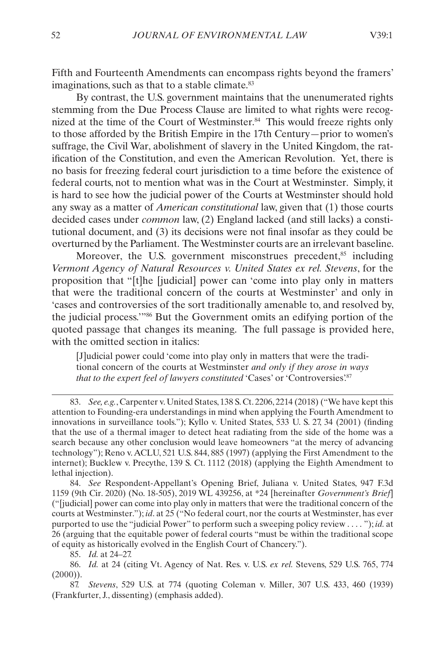Fifth and Fourteenth Amendments can encompass rights beyond the framers' imaginations, such as that to a stable climate.<sup>83</sup>

By contrast, the U.S. government maintains that the unenumerated rights stemming from the Due Process Clause are limited to what rights were recognized at the time of the Court of Westminster.<sup>84</sup> This would freeze rights only to those afforded by the British Empire in the 17th Century—prior to women's suffrage, the Civil War, abolishment of slavery in the United Kingdom, the ratification of the Constitution, and even the American Revolution. Yet, there is no basis for freezing federal court jurisdiction to a time before the existence of federal courts, not to mention what was in the Court at Westminster. Simply, it is hard to see how the judicial power of the Courts at Westminster should hold any sway as a matter of *American constitutional* law, given that (1) those courts decided cases under *common* law, (2) England lacked (and still lacks) a constitutional document, and (3) its decisions were not final insofar as they could be overturned by the Parliament. The Westminster courts are an irrelevant baseline.

Moreover, the U.S. government misconstrues precedent,<sup>85</sup> including *Vermont Agency of Natural Resources v. United States ex rel. Stevens*, for the proposition that "[t]he [judicial] power can 'come into play only in matters that were the traditional concern of the courts at Westminster' and only in 'cases and controversies of the sort traditionally amenable to, and resolved by, the judicial process.'"86 But the Government omits an edifying portion of the quoted passage that changes its meaning. The full passage is provided here, with the omitted section in italics:

[J]udicial power could 'come into play only in matters that were the traditional concern of the courts at Westminster *and only if they arose in ways*  that to the expert feel of lawyers constituted 'Cases' or 'Controversies'.<sup>87</sup>

84. *See* Respondent-Appellant's Opening Brief, Juliana v. United States, 947 F.3d 1159 (9th Cir. 2020) (No. 18-505), 2019 WL 439256, at \*24 [hereinafter *Government's Brief*] ("[judicial] power can come into play only in matters that were the traditional concern of the courts at Westminster."); *id*. at 25 ("No federal court, nor the courts at Westminster, has ever purported to use the "judicial Power" to perform such a sweeping policy review . . . . "); *id.* at 26 (arguing that the equitable power of federal courts "must be within the traditional scope of equity as historically evolved in the English Court of Chancery.").

85. *Id.* at 24–27.

86. *Id.* at 24 (citing Vt. Agency of Nat. Res. v. U.S. *ex rel.* Stevens, 529 U.S. 765, 774  $(2000)$ ).

87. *Stevens*, 529 U.S. at 774 (quoting Coleman v. Miller, 307 U.S. 433, 460 (1939) (Frankfurter, J., dissenting) (emphasis added).

<sup>83.</sup> *See, e.g.*, Carpenter v. United States, 138 S. Ct. 2206, 2214 (2018) ("We have kept this attention to Founding-era understandings in mind when applying the Fourth Amendment to innovations in surveillance tools."); Kyllo v. United States, 533 U. S. 27, 34 (2001) (finding that the use of a thermal imager to detect heat radiating from the side of the home was a search because any other conclusion would leave homeowners "at the mercy of advancing technology"); Reno v. ACLU, 521 U.S. 844, 885 (1997) (applying the First Amendment to the internet); Bucklew v. Precythe, 139 S. Ct. 1112 (2018) (applying the Eighth Amendment to lethal injection).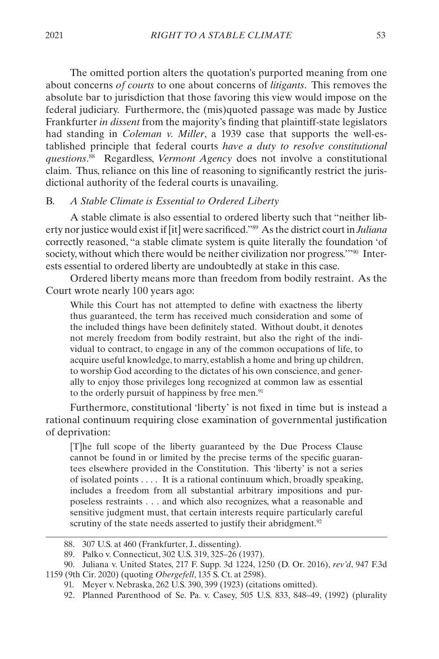<span id="page-15-0"></span>The omitted portion alters the quotation's purported meaning from one about concerns *of courts* to one about concerns of *litigants*. This removes the absolute bar to jurisdiction that those favoring this view would impose on the federal judiciary. Furthermore, the (mis)quoted passage was made by Justice Frankfurter *in dissent* from the majority's finding that plaintiff-state legislators had standing in *Coleman v. Miller*, a 1939 case that supports the well-established principle that federal courts *have a duty to resolve constitutional questions*. 88 Regardless, *Vermont Agency* does not involve a constitutional claim. Thus, reliance on this line of reasoning to significantly restrict the jurisdictional authority of the federal courts is unavailing.

#### B. *A Stable Climate is Essential to Ordered Liberty*

A stable climate is also essential to ordered liberty such that "neither liberty nor justice would exist if [it] were sacrificed."89 As the district court in *Juliana* correctly reasoned, "a stable climate system is quite literally the foundation 'of society, without which there would be neither civilization nor progress."<sup>90</sup> Interests essential to ordered liberty are undoubtedly at stake in this case.

Ordered liberty means more than freedom from bodily restraint. As the Court wrote nearly 100 years ago:

While this Court has not attempted to define with exactness the liberty thus guaranteed, the term has received much consideration and some of the included things have been definitely stated. Without doubt, it denotes not merely freedom from bodily restraint, but also the right of the individual to contract, to engage in any of the common occupations of life, to acquire useful knowledge, to marry, establish a home and bring up children, to worship God according to the dictates of his own conscience, and generally to enjoy those privileges long recognized at common law as essential to the orderly pursuit of happiness by free men.<sup>91</sup>

Furthermore, constitutional 'liberty' is not fixed in time but is instead a rational continuum requiring close examination of governmental justification of deprivation:

[T]he full scope of the liberty guaranteed by the Due Process Clause cannot be found in or limited by the precise terms of the specific guarantees elsewhere provided in the Constitution. This 'liberty' is not a series of isolated points . . . . It is a rational continuum which, broadly speaking, includes a freedom from all substantial arbitrary impositions and purposeless restraints . . . and which also recognizes, what a reasonable and sensitive judgment must, that certain interests require particularly careful scrutiny of the state needs asserted to justify their abridgment.<sup>92</sup>

<sup>88.</sup> 307 U.S. at 460 (Frankfurter, J., dissenting).

<sup>89.</sup> Palko v. Connecticut, 302 U.S. 319, 325–26 (1937).

<sup>90.</sup> Juliana v. United States, 217 F. Supp. 3d 1224, 1250 (D. Or. 2016), *rev'd*, 947 F.3d 1159 (9th Cir. 2020) (quoting *Obergefell*, 135 S. Ct. at 2598).

<sup>91.</sup> Meyer v. Nebraska, 262 U.S. 390, 399 (1923) (citations omitted).

<sup>92.</sup> Planned Parenthood of Se. Pa. v. Casey, 505 U.S. 833, 848–49, (1992) (plurality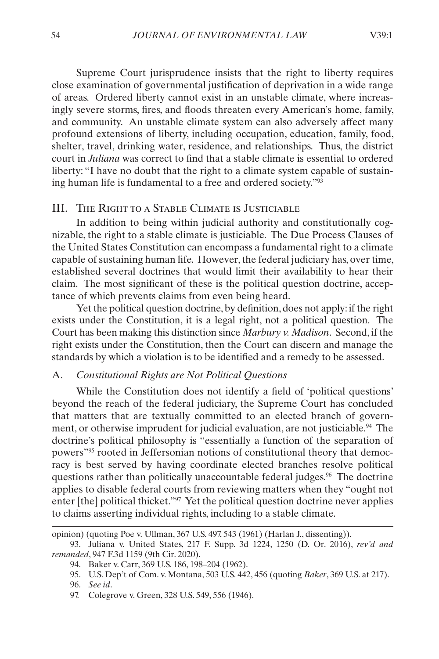<span id="page-16-0"></span>Supreme Court jurisprudence insists that the right to liberty requires close examination of governmental justification of deprivation in a wide range of areas. Ordered liberty cannot exist in an unstable climate, where increasingly severe storms, fires, and floods threaten every American's home, family, and community. An unstable climate system can also adversely affect many profound extensions of liberty, including occupation, education, family, food, shelter, travel, drinking water, residence, and relationships. Thus, the district court in *Juliana* was correct to find that a stable climate is essential to ordered liberty: "I have no doubt that the right to a climate system capable of sustaining human life is fundamental to a free and ordered society."93

#### III. The Right to a Stable Climate is Justiciable

In addition to being within judicial authority and constitutionally cognizable, the right to a stable climate is justiciable. The Due Process Clauses of the United States Constitution can encompass a fundamental right to a climate capable of sustaining human life. However, the federal judiciary has, over time, established several doctrines that would limit their availability to hear their claim. The most significant of these is the political question doctrine, acceptance of which prevents claims from even being heard.

Yet the political question doctrine, by definition, does not apply: if the right exists under the Constitution, it is a legal right, not a political question. The Court has been making this distinction since *Marbury v. Madison*. Second, if the right exists under the Constitution, then the Court can discern and manage the standards by which a violation is to be identified and a remedy to be assessed.

#### A. *Constitutional Rights are Not Political Questions*

While the Constitution does not identify a field of 'political questions' beyond the reach of the federal judiciary, the Supreme Court has concluded that matters that are textually committed to an elected branch of government, or otherwise imprudent for judicial evaluation, are not justiciable.<sup>94</sup> The doctrine's political philosophy is "essentially a function of the separation of powers"95 rooted in Jeffersonian notions of constitutional theory that democracy is best served by having coordinate elected branches resolve political questions rather than politically unaccountable federal judges.<sup>96</sup> The doctrine applies to disable federal courts from reviewing matters when they "ought not enter [the] political thicket."97 Yet the political question doctrine never applies to claims asserting individual rights, including to a stable climate.

opinion) (quoting Poe v. Ullman, 367 U.S. 497, 543 (1961) (Harlan J., dissenting)).

<sup>93.</sup> Juliana v. United States, 217 F. Supp. 3d 1224, 1250 (D. Or. 2016), *rev'd and remanded*, 947 F.3d 1159 (9th Cir. 2020).

<sup>94.</sup> Baker v. Carr, 369 U.S. 186, 198–204 (1962).

<sup>95.</sup> U.S. Dep't of Com. v. Montana, 503 U.S. 442, 456 (quoting *Baker*, 369 U.S. at 217). 96. *See id*.

<sup>97.</sup> Colegrove v. Green, 328 U.S. 549, 556 (1946).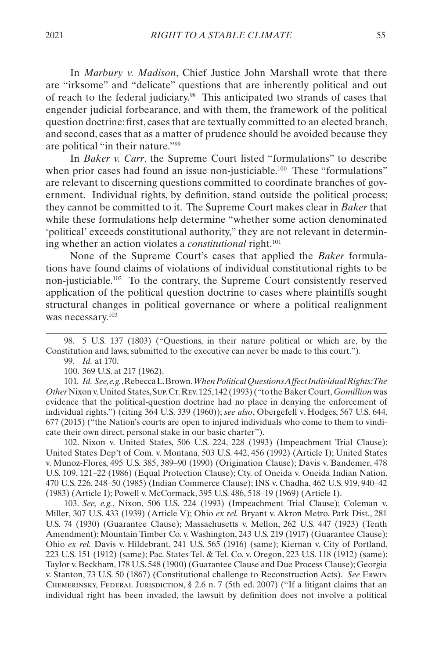In *Marbury v. Madison*, Chief Justice John Marshall wrote that there are "irksome" and "delicate" questions that are inherently political and out of reach to the federal judiciary.98 This anticipated two strands of cases that engender judicial forbearance, and with them, the framework of the political question doctrine: first, cases that are textually committed to an elected branch, and second, cases that as a matter of prudence should be avoided because they are political "in their nature."99

In *Baker v. Carr*, the Supreme Court listed "formulations" to describe when prior cases had found an issue non-justiciable.<sup>100</sup> These "formulations" are relevant to discerning questions committed to coordinate branches of government. Individual rights, by definition, stand outside the political process; they cannot be committed to it. The Supreme Court makes clear in *Baker* that while these formulations help determine "whether some action denominated 'political' exceeds constitutional authority," they are not relevant in determining whether an action violates a *constitutional* right.<sup>101</sup>

None of the Supreme Court's cases that applied the *Baker* formulations have found claims of violations of individual constitutional rights to be non-justiciable.102 To the contrary, the Supreme Court consistently reserved application of the political question doctrine to cases where plaintiffs sought structural changes in political governance or where a political realignment was necessary.<sup>103</sup>

98. 5 U.S. 137 (1803) ("Questions, in their nature political or which are, by the Constitution and laws, submitted to the executive can never be made to this court.").

99. *Id.* at 170.

100. 369 U.S. at 217 (1962).

101. *Id. See, e.g.*, Rebecca L. Brown, *When Political Questions Affect Individual Rights: The Other* Nixon v. United States, Sup. Ct. Rev. 125, 142 (1993) ("to the Baker Court, *Gomillion* was evidence that the political-question doctrine had no place in denying the enforcement of individual rights.") (citing 364 U.S. 339 (1960)); *see also*, Obergefell v. Hodges, 567 U.S. 644, 677 (2015) ("the Nation's courts are open to injured individuals who come to them to vindicate their own direct, personal stake in our basic charter").

102. Nixon v. United States, 506 U.S. 224, 228 (1993) (Impeachment Trial Clause); United States Dep't of Com. v. Montana, 503 U.S. 442, 456 (1992) (Article I); United States v. Munoz-Flores, 495 U.S. 385, 389–90 (1990) (Origination Clause); Davis v. Bandemer, 478 U.S. 109, 121–22 (1986) (Equal Protection Clause); Cty. of Oneida v. Oneida Indian Nation, 470 U.S. 226, 248–50 (1985) (Indian Commerce Clause); INS v. Chadha, 462 U.S. 919, 940–42 (1983) (Article I); Powell v. McCormack, 395 U.S. 486, 518–19 (1969) (Article I).

103. *See, e.g.*, Nixon, 506 U.S. 224 (1993) (Impeachment Trial Clause); Coleman v. Miller, 307 U.S. 433 (1939) (Article V); Ohio *ex rel.* Bryant v. Akron Metro. Park Dist., 281 U.S. 74 (1930) (Guarantee Clause); Massachusetts v. Mellon, 262 U.S. 447 (1923) (Tenth Amendment); Mountain Timber Co. v. Washington, 243 U.S. 219 (1917) (Guarantee Clause); Ohio *ex rel.* Davis v. Hildebrant, 241 U.S. 565 (1916) (same); Kiernan v. City of Portland, 223 U.S. 151 (1912) (same); Pac. States Tel. & Tel. Co. v. Oregon, 223 U.S. 118 (1912) (same); Taylor v. Beckham, 178 U.S. 548 (1900) (Guarantee Clause and Due Process Clause); Georgia v. Stanton, 73 U.S. 50 (1867) (Constitutional challenge to Reconstruction Acts). *See* Erwin CHEMERINSKY, FEDERAL JURISDICTION,  $\S 2.6$  n. 7 (5th ed. 2007) ("If a litigant claims that an individual right has been invaded, the lawsuit by definition does not involve a political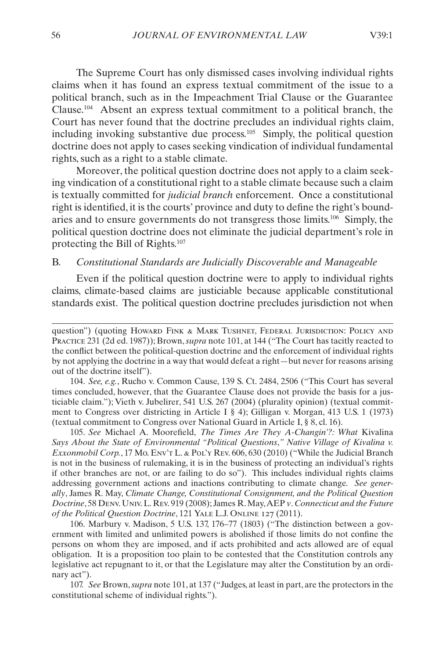<span id="page-18-0"></span>The Supreme Court has only dismissed cases involving individual rights claims when it has found an express textual commitment of the issue to a political branch, such as in the Impeachment Trial Clause or the Guarantee Clause.104 Absent an express textual commitment to a political branch, the Court has never found that the doctrine precludes an individual rights claim, including invoking substantive due process.105 Simply, the political question doctrine does not apply to cases seeking vindication of individual fundamental rights, such as a right to a stable climate.

Moreover, the political question doctrine does not apply to a claim seeking vindication of a constitutional right to a stable climate because such a claim is textually committed for *judicial branch* enforcement. Once a constitutional right is identified, it is the courts' province and duty to define the right's boundaries and to ensure governments do not transgress those limits.106 Simply, the political question doctrine does not eliminate the judicial department's role in protecting the Bill of Rights.107

#### B. *Constitutional Standards are Judicially Discoverable and Manageable*

Even if the political question doctrine were to apply to individual rights claims, climate-based claims are justiciable because applicable constitutional standards exist. The political question doctrine precludes jurisdiction not when

104. *See, e.g.*, Rucho v. Common Cause, 139 S. Ct. 2484, 2506 ("This Court has several times concluded, however, that the Guarantee Clause does not provide the basis for a justiciable claim."); Vieth v. Jubelirer, 541 U.S. 267 (2004) (plurality opinion) (textual commitment to Congress over districting in Article I § 4); Gilligan v. Morgan, 413 U.S. 1 (1973) (textual commitment to Congress over National Guard in Article I, § 8, cl. 16).

105. *See* Michael A. Moorefield, *The Times Are They A-Changin'?: What* Kivalina *Says About the State of Environmental "Political Questions*,*" Native Village of Kivalina v. Exxonmobil Corp.*, 17 Mo. Env't L. & Pol'y Rev. 606, 630 (2010) ("While the Judicial Branch is not in the business of rulemaking, it is in the business of protecting an individual's rights if other branches are not, or are failing to do so"). This includes individual rights claims addressing government actions and inactions contributing to climate change. *See generally*, James R. May, *Climate Change, Constitutional Consignment, and the Political Question Doctrine*, 58 Denv. Univ. L. Rev. 919 (2008); James R. May, AEP *v*. *Connecticut and the Future of the Political Question Doctrine*, 121 Yale L.J. Online 127 (2011).

106. Marbury v. Madison, 5 U.S. 137, 176–77 (1803) ("The distinction between a government with limited and unlimited powers is abolished if those limits do not confine the persons on whom they are imposed, and if acts prohibited and acts allowed are of equal obligation. It is a proposition too plain to be contested that the Constitution controls any legislative act repugnant to it, or that the Legislature may alter the Constitution by an ordinary act").

107. *See* Brown, *supra* note 101, at 137 ("Judges, at least in part, are the protectors in the constitutional scheme of individual rights.").

question") (quoting Howard FINK & MARK TUSHNET, FEDERAL JURISDICTION: POLICY AND Practice 231 (2d ed. 1987)); Brown, *supra* note 101, at 144 ("The Court has tacitly reacted to the conflict between the political-question doctrine and the enforcement of individual rights by not applying the doctrine in a way that would defeat a right—but never for reasons arising out of the doctrine itself").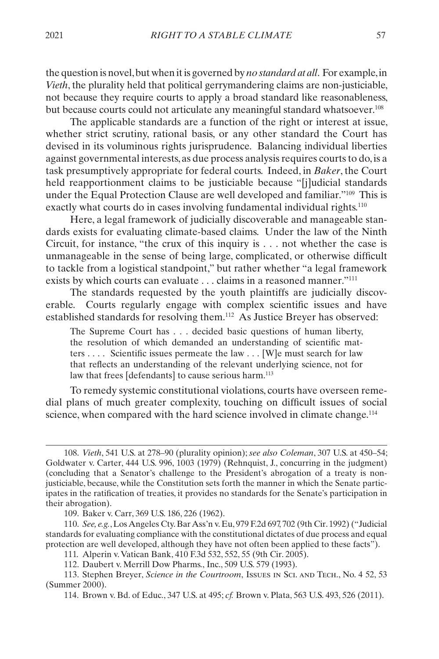the question is novel, but when it is governed by *no standard at all*. For example, in *Vieth*, the plurality held that political gerrymandering claims are non-justiciable, not because they require courts to apply a broad standard like reasonableness, but because courts could not articulate any meaningful standard whatsoever.<sup>108</sup>

The applicable standards are a function of the right or interest at issue, whether strict scrutiny, rational basis, or any other standard the Court has devised in its voluminous rights jurisprudence. Balancing individual liberties against governmental interests, as due process analysis requires courts to do, is a task presumptively appropriate for federal courts. Indeed, in *Baker*, the Court held reapportionment claims to be justiciable because "[j]udicial standards under the Equal Protection Clause are well developed and familiar."109 This is exactly what courts do in cases involving fundamental individual rights.<sup>110</sup>

Here, a legal framework of judicially discoverable and manageable standards exists for evaluating climate-based claims. Under the law of the Ninth Circuit, for instance, "the crux of this inquiry is . . . not whether the case is unmanageable in the sense of being large, complicated, or otherwise difficult to tackle from a logistical standpoint," but rather whether "a legal framework exists by which courts can evaluate . . . claims in a reasoned manner."<sup>111</sup>

The standards requested by the youth plaintiffs are judicially discoverable. Courts regularly engage with complex scientific issues and have established standards for resolving them.112 As Justice Breyer has observed:

The Supreme Court has . . . decided basic questions of human liberty, the resolution of which demanded an understanding of scientific matters . . . . Scientific issues permeate the law . . . [W]e must search for law that reflects an understanding of the relevant underlying science, not for law that frees [defendants] to cause serious harm.<sup>113</sup>

To remedy systemic constitutional violations, courts have overseen remedial plans of much greater complexity, touching on difficult issues of social science, when compared with the hard science involved in climate change.<sup>114</sup>

<sup>108.</sup> *Vieth*, 541 U.S. at 278–90 (plurality opinion); *see also Coleman*, 307 U.S. at 450–54; Goldwater v. Carter, 444 U.S. 996, 1003 (1979) (Rehnquist, J., concurring in the judgment) (concluding that a Senator's challenge to the President's abrogation of a treaty is nonjusticiable, because, while the Constitution sets forth the manner in which the Senate participates in the ratification of treaties, it provides no standards for the Senate's participation in their abrogation).

<sup>109.</sup> Baker v. Carr, 369 U.S. 186, 226 (1962).

<sup>110.</sup> *See, e.g.*, Los Angeles Cty. Bar Ass'n v. Eu, 979 F.2d 697, 702 (9th Cir. 1992) ("Judicial standards for evaluating compliance with the constitutional dictates of due process and equal protection are well developed, although they have not often been applied to these facts").

<sup>111.</sup> Alperin v. Vatican Bank, 410 F.3d 532, 552, 55 (9th Cir. 2005).

<sup>112.</sup> Daubert v. Merrill Dow Pharms., Inc., 509 U.S. 579 (1993).

<sup>113.</sup> Stephen Breyer, *Science in the Courtroom*, Issues in Sci. and Tech., No. 4 52, 53 (Summer 2000).

<sup>114.</sup> Brown v. Bd. of Educ., 347 U.S. at 495; *cf.* Brown v. Plata, 563 U.S. 493, 526 (2011).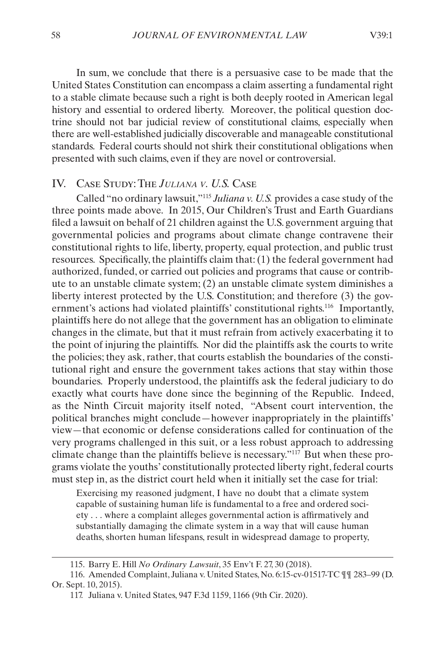<span id="page-20-0"></span>In sum, we conclude that there is a persuasive case to be made that the United States Constitution can encompass a claim asserting a fundamental right to a stable climate because such a right is both deeply rooted in American legal history and essential to ordered liberty. Moreover, the political question doctrine should not bar judicial review of constitutional claims, especially when there are well-established judicially discoverable and manageable constitutional standards. Federal courts should not shirk their constitutional obligations when presented with such claims, even if they are novel or controversial.

#### IV. Case Study: The *Juliana v. U.S.* Case

Called "no ordinary lawsuit,"115 *Juliana v. U.S.* provides a case study of the three points made above. In 2015, Our Children's Trust and Earth Guardians filed a lawsuit on behalf of 21 children against the U.S. government arguing that governmental policies and programs about climate change contravene their constitutional rights to life, liberty, property, equal protection, and public trust resources. Specifically, the plaintiffs claim that: (1) the federal government had authorized, funded, or carried out policies and programs that cause or contribute to an unstable climate system; (2) an unstable climate system diminishes a liberty interest protected by the U.S. Constitution; and therefore (3) the government's actions had violated plaintiffs' constitutional rights.<sup>116</sup> Importantly, plaintiffs here do not allege that the government has an obligation to eliminate changes in the climate, but that it must refrain from actively exacerbating it to the point of injuring the plaintiffs. Nor did the plaintiffs ask the courts to write the policies; they ask, rather, that courts establish the boundaries of the constitutional right and ensure the government takes actions that stay within those boundaries. Properly understood, the plaintiffs ask the federal judiciary to do exactly what courts have done since the beginning of the Republic. Indeed, as the Ninth Circuit majority itself noted, "Absent court intervention, the political branches might conclude—however inappropriately in the plaintiffs' view—that economic or defense considerations called for continuation of the very programs challenged in this suit, or a less robust approach to addressing climate change than the plaintiffs believe is necessary."117 But when these programs violate the youths' constitutionally protected liberty right, federal courts must step in, as the district court held when it initially set the case for trial:

Exercising my reasoned judgment, I have no doubt that a climate system capable of sustaining human life is fundamental to a free and ordered society . . . where a complaint alleges governmental action is affirmatively and substantially damaging the climate system in a way that will cause human deaths, shorten human lifespans, result in widespread damage to property,

<sup>115.</sup> Barry E. Hill *No Ordinary Lawsuit*, 35 Env't F. 27, 30 (2018).

<sup>116.</sup> Amended Complaint, Juliana v. United States, No. 6:15-cv-01517-TC ¶¶ 283–99 (D. Or. Sept. 10, 2015).

<sup>117.</sup> Juliana v. United States, 947 F.3d 1159, 1166 (9th Cir. 2020).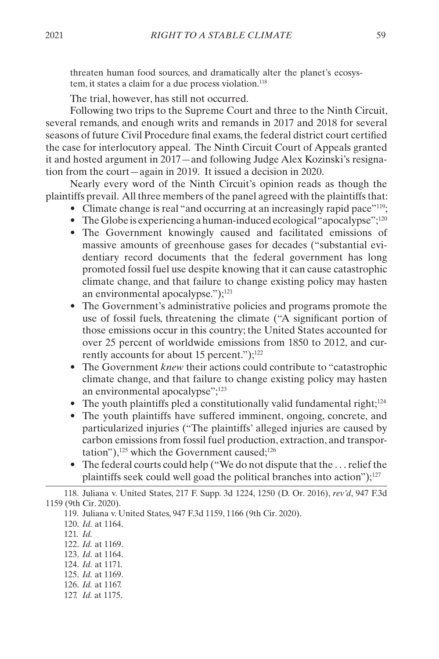threaten human food sources, and dramatically alter the planet's ecosystem, it states a claim for a due process violation.<sup>118</sup>

The trial, however, has still not occurred.

Following two trips to the Supreme Court and three to the Ninth Circuit, several remands, and enough writs and remands in 2017 and 2018 for several seasons of future Civil Procedure final exams, the federal district court certified the case for interlocutory appeal. The Ninth Circuit Court of Appeals granted it and hosted argument in 2017—and following Judge Alex Kozinski's resignation from the court—again in 2019. It issued a decision in 2020.

Nearly every word of the Ninth Circuit's opinion reads as though the plaintiffs prevail. All three members of the panel agreed with the plaintiffs that:

- Climate change is real "and occurring at an increasingly rapid pace"<sup>119</sup>;
- The Globe is experiencing a human-induced ecological "apocalypse"; $^{120}$
- The Government knowingly caused and facilitated emissions of massive amounts of greenhouse gases for decades ("substantial evidentiary record documents that the federal government has long promoted fossil fuel use despite knowing that it can cause catastrophic climate change, and that failure to change existing policy may hasten an environmental apocalypse.");<sup>121</sup>
- The Government's administrative policies and programs promote the use of fossil fuels, threatening the climate ("A significant portion of those emissions occur in this country; the United States accounted for over 25 percent of worldwide emissions from 1850 to 2012, and currently accounts for about 15 percent." $;1<sup>22</sup>$
- The Government *knew* their actions could contribute to "catastrophic climate change, and that failure to change existing policy may hasten an environmental apocalypse";<sup>123</sup>
- The youth plaintiffs pled a constitutionally valid fundamental right; $124$
- The youth plaintiffs have suffered imminent, ongoing, concrete, and particularized injuries ("The plaintiffs' alleged injuries are caused by carbon emissions from fossil fuel production, extraction, and transportation"), $125$  which the Government caused; $126$
- The federal courts could help ("We do not dispute that the . . . relief the plaintiffs seek could well goad the political branches into action");<sup>127</sup>

122. *Id.* at 1169.

- 124. *Id.* at 1171.
- 125. *Id.* at 1169.
- 126. *Id.* at 1167.
- 127. *Id.* at 1175.

<sup>118.</sup> Juliana v. United States, 217 F. Supp. 3d 1224, 1250 (D. Or. 2016), *rev'd*, 947 F.3d 1159 (9th Cir. 2020).

<sup>119.</sup> Juliana v. United States, 947 F.3d 1159, 1166 (9th Cir. 2020).

<sup>120.</sup> *Id.* at 1164.

<sup>121.</sup> *Id.*

<sup>123.</sup> *Id.* at 1164.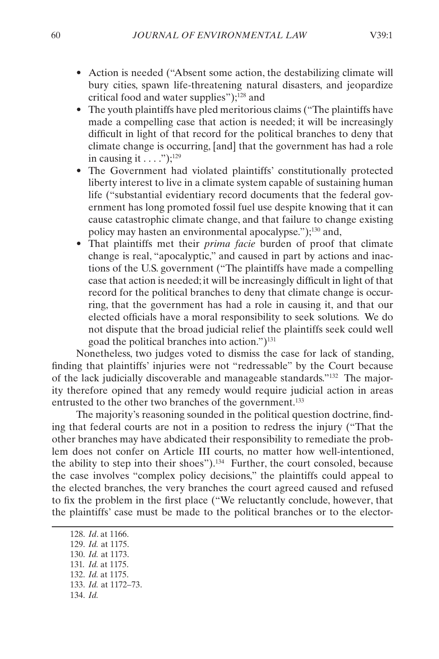- Action is needed ("Absent some action, the destabilizing climate will bury cities, spawn life-threatening natural disasters, and jeopardize critical food and water supplies");128 and
- The youth plaintiffs have pled meritorious claims ("The plaintiffs have made a compelling case that action is needed; it will be increasingly difficult in light of that record for the political branches to deny that climate change is occurring, [and] that the government has had a role in causing it  $\dots$  .");<sup>129</sup>
- The Government had violated plaintiffs' constitutionally protected liberty interest to live in a climate system capable of sustaining human life ("substantial evidentiary record documents that the federal government has long promoted fossil fuel use despite knowing that it can cause catastrophic climate change, and that failure to change existing policy may hasten an environmental apocalypse.");130 and,
- That plaintiffs met their *prima facie* burden of proof that climate change is real, "apocalyptic," and caused in part by actions and inactions of the U.S. government ("The plaintiffs have made a compelling case that action is needed; it will be increasingly difficult in light of that record for the political branches to deny that climate change is occurring, that the government has had a role in causing it, and that our elected officials have a moral responsibility to seek solutions. We do not dispute that the broad judicial relief the plaintiffs seek could well goad the political branches into action.")131

Nonetheless, two judges voted to dismiss the case for lack of standing, finding that plaintiffs' injuries were not "redressable" by the Court because of the lack judicially discoverable and manageable standards."132 The majority therefore opined that any remedy would require judicial action in areas entrusted to the other two branches of the government.<sup>133</sup>

The majority's reasoning sounded in the political question doctrine, finding that federal courts are not in a position to redress the injury ("That the other branches may have abdicated their responsibility to remediate the problem does not confer on Article III courts, no matter how well-intentioned, the ability to step into their shoes").134 Further, the court consoled, because the case involves "complex policy decisions," the plaintiffs could appeal to the elected branches, the very branches the court agreed caused and refused to fix the problem in the first place ("We reluctantly conclude, however, that the plaintiffs' case must be made to the political branches or to the elector-

128. *Id*. at 1166. 129. *Id.* at 1175. 130. *Id.* at 1173. 131. *Id.* at 1175. 132. *Id.* at 1175. 133. *Id.* at 1172–73. 134. *Id.*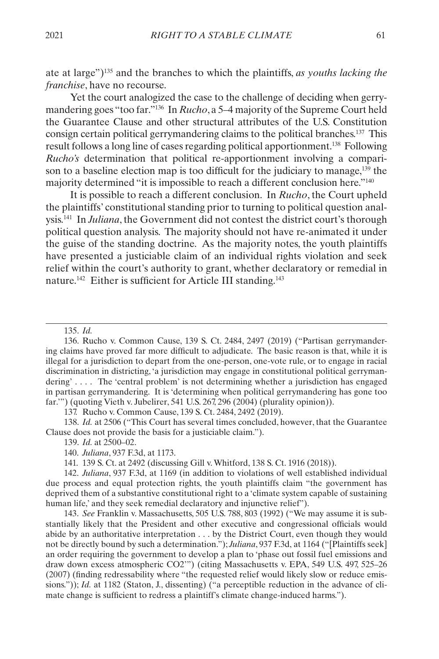ate at large")135 and the branches to which the plaintiffs, *as youths lacking the franchise*, have no recourse.

Yet the court analogized the case to the challenge of deciding when gerrymandering goes "too far."136 In *Rucho*, a 5–4 majority of the Supreme Court held the Guarantee Clause and other structural attributes of the U.S. Constitution consign certain political gerrymandering claims to the political branches.137 This result follows a long line of cases regarding political apportionment.138 Following *Rucho's* determination that political re-apportionment involving a comparison to a baseline election map is too difficult for the judiciary to manage,139 the majority determined "it is impossible to reach a different conclusion here."140

It is possible to reach a different conclusion. In *Rucho*, the Court upheld the plaintiffs' constitutional standing prior to turning to political question analysis.141 In *Juliana*, the Government did not contest the district court's thorough political question analysis. The majority should not have re-animated it under the guise of the standing doctrine. As the majority notes, the youth plaintiffs have presented a justiciable claim of an individual rights violation and seek relief within the court's authority to grant, whether declaratory or remedial in nature.<sup>142</sup> Either is sufficient for Article III standing.<sup>143</sup>

135. *Id.*

136. Rucho v. Common Cause, 139 S. Ct. 2484, 2497 (2019) ("Partisan gerrymandering claims have proved far more difficult to adjudicate. The basic reason is that, while it is illegal for a jurisdiction to depart from the one-person, one-vote rule, or to engage in racial discrimination in districting, 'a jurisdiction may engage in constitutional political gerrymandering' . . . . The 'central problem' is not determining whether a jurisdiction has engaged in partisan gerrymandering. It is 'determining when political gerrymandering has gone too far.'") (quoting Vieth v. Jubelirer, 541 U.S. 267, 296 (2004) (plurality opinion)).

137. Rucho v. Common Cause, 139 S. Ct. 2484, 2492 (2019).

138. *Id.* at 2506 ("This Court has several times concluded, however, that the Guarantee Clause does not provide the basis for a justiciable claim.").

139. *Id.* at 2500–02.

140. *Juliana*, 937 F.3d, at 1173.

141. 139 S. Ct. at 2492 (discussing Gill v. Whitford, 138 S. Ct. 1916 (2018)).

142. *Juliana*, 937 F.3d, at 1169 (in addition to violations of well established individual due process and equal protection rights, the youth plaintiffs claim "the government has deprived them of a substantive constitutional right to a 'climate system capable of sustaining human life,' and they seek remedial declaratory and injunctive relief").

143. *See* Franklin v. Massachusetts, 505 U.S. 788, 803 (1992) ("We may assume it is substantially likely that the President and other executive and congressional officials would abide by an authoritative interpretation . . . by the District Court, even though they would not be directly bound by such a determination."); *Juliana*, 937 F.3d, at 1164 ("[Plaintiffs seek] an order requiring the government to develop a plan to 'phase out fossil fuel emissions and draw down excess atmospheric CO2'") (citing Massachusetts v. EPA, 549 U.S. 497, 525–26 (2007) (finding redressability where "the requested relief would likely slow or reduce emissions.")); *Id.* at 1182 (Staton, J., dissenting) ("a perceptible reduction in the advance of climate change is sufficient to redress a plaintiff's climate change-induced harms.").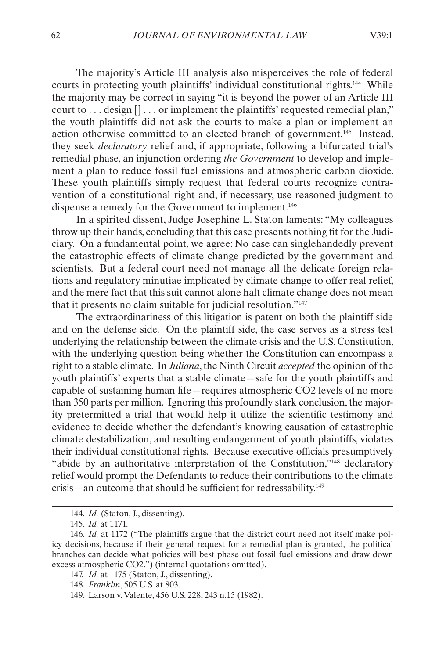The majority's Article III analysis also misperceives the role of federal courts in protecting youth plaintiffs' individual constitutional rights.144 While the majority may be correct in saying "it is beyond the power of an Article III court to . . . design [] . . . or implement the plaintiffs' requested remedial plan," the youth plaintiffs did not ask the courts to make a plan or implement an action otherwise committed to an elected branch of government.145 Instead, they seek *declaratory* relief and, if appropriate, following a bifurcated trial's remedial phase, an injunction ordering *the Government* to develop and implement a plan to reduce fossil fuel emissions and atmospheric carbon dioxide. These youth plaintiffs simply request that federal courts recognize contravention of a constitutional right and, if necessary, use reasoned judgment to dispense a remedy for the Government to implement.146

In a spirited dissent, Judge Josephine L. Staton laments: "My colleagues throw up their hands, concluding that this case presents nothing fit for the Judiciary. On a fundamental point, we agree: No case can singlehandedly prevent the catastrophic effects of climate change predicted by the government and scientists. But a federal court need not manage all the delicate foreign relations and regulatory minutiae implicated by climate change to offer real relief, and the mere fact that this suit cannot alone halt climate change does not mean that it presents no claim suitable for judicial resolution."147

The extraordinariness of this litigation is patent on both the plaintiff side and on the defense side. On the plaintiff side, the case serves as a stress test underlying the relationship between the climate crisis and the U.S. Constitution, with the underlying question being whether the Constitution can encompass a right to a stable climate. In *Juliana*, the Ninth Circuit *accepted* the opinion of the youth plaintiffs' experts that a stable climate—safe for the youth plaintiffs and capable of sustaining human life—requires atmospheric CO2 levels of no more than 350 parts per million. Ignoring this profoundly stark conclusion, the majority pretermitted a trial that would help it utilize the scientific testimony and evidence to decide whether the defendant's knowing causation of catastrophic climate destabilization, and resulting endangerment of youth plaintiffs, violates their individual constitutional rights. Because executive officials presumptively "abide by an authoritative interpretation of the Constitution,"<sup>148</sup> declaratory relief would prompt the Defendants to reduce their contributions to the climate crisis—an outcome that should be sufficient for redressability.149

<sup>144.</sup> *Id.* (Staton, J., dissenting).

<sup>145.</sup> *Id.* at 1171.

<sup>146.</sup> *Id.* at 1172 ("The plaintiffs argue that the district court need not itself make policy decisions, because if their general request for a remedial plan is granted, the political branches can decide what policies will best phase out fossil fuel emissions and draw down excess atmospheric CO2.") (internal quotations omitted).

<sup>147.</sup> *Id.* at 1175 (Staton, J., dissenting).

<sup>148.</sup> *Franklin*, 505 U.S. at 803.

<sup>149.</sup> Larson v. Valente, 456 U.S. 228, 243 n.15 (1982).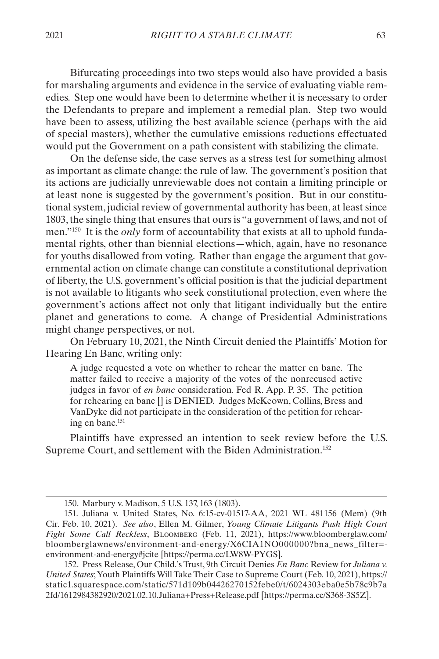Bifurcating proceedings into two steps would also have provided a basis for marshaling arguments and evidence in the service of evaluating viable remedies. Step one would have been to determine whether it is necessary to order the Defendants to prepare and implement a remedial plan. Step two would have been to assess, utilizing the best available science (perhaps with the aid of special masters), whether the cumulative emissions reductions effectuated would put the Government on a path consistent with stabilizing the climate.

On the defense side, the case serves as a stress test for something almost as important as climate change: the rule of law. The government's position that its actions are judicially unreviewable does not contain a limiting principle or at least none is suggested by the government's position. But in our constitutional system, judicial review of governmental authority has been, at least since 1803, the single thing that ensures that ours is "a government of laws, and not of men."150 It is the *only* form of accountability that exists at all to uphold fundamental rights, other than biennial elections—which, again, have no resonance for youths disallowed from voting. Rather than engage the argument that governmental action on climate change can constitute a constitutional deprivation of liberty, the U.S. government's official position is that the judicial department is not available to litigants who seek constitutional protection, even where the government's actions affect not only that litigant individually but the entire planet and generations to come. A change of Presidential Administrations might change perspectives, or not.

On February 10, 2021, the Ninth Circuit denied the Plaintiffs' Motion for Hearing En Banc, writing only:

A judge requested a vote on whether to rehear the matter en banc. The matter failed to receive a majority of the votes of the nonrecused active judges in favor of *en banc* consideration. Fed R. App. P. 35. The petition for rehearing en banc [] is DENIED. Judges McKeown, Collins, Bress and VanDyke did not participate in the consideration of the petition for rehearing en banc.151

Plaintiffs have expressed an intention to seek review before the U.S. Supreme Court, and settlement with the Biden Administration.<sup>152</sup>

<sup>150.</sup> Marbury v. Madison, 5 U.S. 137, 163 (1803).

<sup>151.</sup> Juliana v. United States, No. 6:15-cv-01517-AA, 2021 WL 481156 (Mem) (9th Cir. Feb. 10, 2021). *See also*, Ellen M. Gilmer, *Young Climate Litigants Push High Court Fight Some Call Reckless*, Bloomberg (Feb. 11, 2021), https://www.bloomberglaw.com/ bloomberglawnews/environment-and-energy/X6CIA1NO000000?bna\_news\_filter= environment-and-energy#jcite [https://perma.cc/LW8W-PYGS].

<sup>152.</sup> Press Release, Our Child.'s Trust, 9th Circuit Denies *En Banc* Review for *Juliana v. United States*; Youth Plaintiffs Will Take Their Case to Supreme Court (Feb. 10, 2021), [https://](https://static1.squarespace.com/static/571d109b04426270152febe0/t/6024303eba0e5b78c9b7a2fd/1612984382920/2021.02.10.Juliana+Press+Release.pdf) [static1.squarespace.com/static/571d109b04426270152febe0/t/6024303eba0e5b78c9b7a](https://static1.squarespace.com/static/571d109b04426270152febe0/t/6024303eba0e5b78c9b7a2fd/1612984382920/2021.02.10.Juliana+Press+Release.pdf) [2fd/1612984382920/2021.02.10.Juliana+Press+Release.pdf](https://static1.squarespace.com/static/571d109b04426270152febe0/t/6024303eba0e5b78c9b7a2fd/1612984382920/2021.02.10.Juliana+Press+Release.pdf) [https://perma.cc/S368-3S5Z].